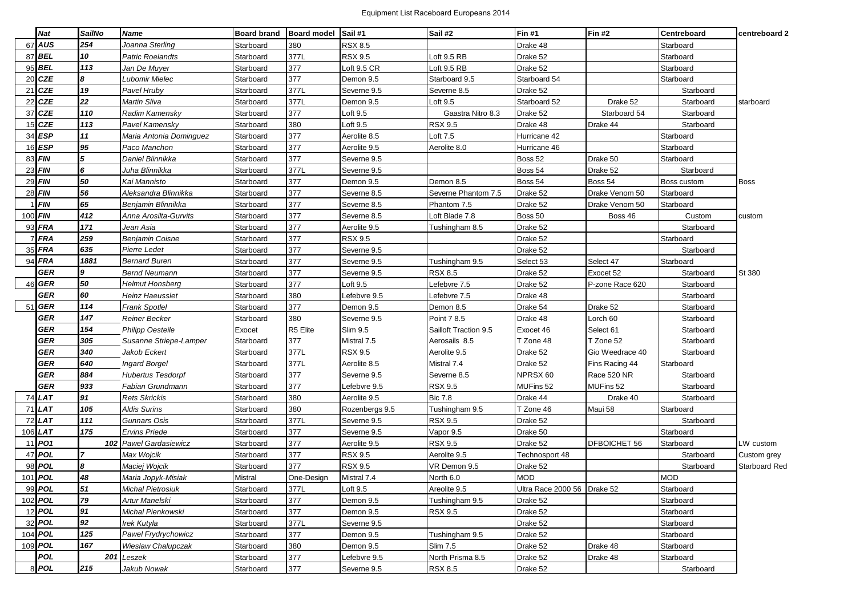## Equipment List Raceboard Europeans 2014

|    | <b>Nat</b>     | <b>SailNo</b>  | <b>Name</b>               | <b>Board brand</b> | Board model Sail #1 |                | Sail #2               | <b>Fin #1</b>               | <b>Fin #2</b>   | Centreboard | centreboard 2 |
|----|----------------|----------------|---------------------------|--------------------|---------------------|----------------|-----------------------|-----------------------------|-----------------|-------------|---------------|
| 67 | AUS            | 254            | Joanna Sterling           | Starboard          | 380                 | <b>RSX 8.5</b> |                       | Drake 48                    |                 | Starboard   |               |
|    | 87 BEL         | 10             | Patric Roelandts          | Starboard          | 377L                | <b>RSX 9.5</b> | Loft 9.5 RB           | Drake 52                    |                 | Starboard   |               |
|    | 95 BEL         | 113            | Jan De Muyer              | Starboard          | 377                 | Loft 9.5 CR    | Loft 9.5 RB           | Drake 52                    |                 | Starboard   |               |
|    | 20 CZE         | l8             | Lubomir Mielec            | Starboard          | 377                 | Demon 9.5      | Starboard 9.5         | Starboard 54                |                 | Starboard   |               |
| 21 | <b>CZE</b>     | 19             | Pavel Hruby               | Starboard          | 377L                | Severne 9.5    | Severne 8.5           | Drake 52                    |                 | Starboard   |               |
| 22 | <b>CZE</b>     | 22             | Martin Sliva              | Starboard          | 377L                | Demon 9.5      | Loft 9.5              | Starboard 52                | Drake 52        | Starboard   | starboard     |
| 37 | <b>CZE</b>     | 110            | Radim Kamensky            | Starboard          | 377                 | Loft 9.5       | Gaastra Nitro 8.3     | Drake 52                    | Starboard 54    | Starboard   |               |
|    | $15$ CZE       | 113            | Pavel Kamensky            | Starboard          | 380                 | Loft 9.5       | <b>RSX 9.5</b>        | Drake 48                    | Drake 44        | Starboard   |               |
|    | 34 ESP         | 11             | Maria Antonia Dominguez   | Starboard          | 377                 | Aerolite 8.5   | Loft 7.5              | Hurricane 42                |                 | Starboard   |               |
|    | $16$ ESP       | 95             | Paco Manchon              | Starboard          | 377                 | Aerolite 9.5   | Aerolite 8.0          | Hurricane 46                |                 | Starboard   |               |
|    | 83 FIN         | 5              | Daniel Blinnikka          | Starboard          | 377                 | Severne 9.5    |                       | Boss 52                     | Drake 50        | Starboard   |               |
|    | $23$ FIN       | 6              | Juha Blinnikka            | Starboard          | 377L                | Severne 9.5    |                       | Boss 54                     | Drake 52        | Starboard   |               |
|    | $29$ FIN       | 50             | Kai Mannisto              | Starboard          | 377                 | Demon 9.5      | Demon 8.5             | Boss 54                     | Boss 54         | Boss custom | <b>Boss</b>   |
|    | 28 FIN         | 56             | Aleksandra Blinnikka      | Starboard          | 377                 | Severne 8.5    | Severne Phantom 7.5   | Drake 52                    | Drake Venom 50  | Starboard   |               |
|    | <b>FIN</b>     | 65             | Benjamin Blinnikka        | Starboard          | 377                 | Severne 8.5    | Phantom 7.5           | Drake 52                    | Drake Venom 50  | Starboard   |               |
|    | 100 FIN        | 412            | Anna Arosilta-Gurvits     | Starboard          | 377                 | Severne 8.5    | Loft Blade 7.8        | Boss 50                     | Boss 46         | Custom      | custom        |
|    | $93$ FRA       | 171            | Jean Asia                 | Starboard          | 377                 | Aerolite 9.5   | Tushingham 8.5        | Drake 52                    |                 | Starboard   |               |
|    | <b>FRA</b>     | 259            | Benjamin Coisne           | Starboard          | 377                 | <b>RSX 9.5</b> |                       | Drake 52                    |                 | Starboard   |               |
|    | 35 FRA         | 635            | Pierre Ledet              | Starboard          | 377                 | Severne 9.5    |                       | Drake 52                    |                 | Starboard   |               |
| 94 | <b>FRA</b>     | 1881           | <b>Bernard Buren</b>      | Starboard          | 377                 | Severne 9.5    | Tushingham 9.5        | Select 53                   | Select 47       | Starboard   |               |
|    | <b>GER</b>     | 9              | <b>Bernd Neumann</b>      | Starboard          | 377                 | Severne 9.5    | <b>RSX 8.5</b>        | Drake 52                    | Exocet 52       | Starboard   | St 380        |
| 46 | <b>GER</b>     | 50             | Helmut Honsberg           | Starboard          | 377                 | _oft 9.5       | efebvre 7.5           | Drake 52                    | P-zone Race 620 | Starboard   |               |
|    | <b>GER</b>     | 60             | Heinz Haeusslet           | Starboard          | 380                 | efebvre 9.5    | efebvre 7.5           | Drake 48                    |                 | Starboard   |               |
| 51 | <b>GER</b>     | 114            | <b>Frank Spotlel</b>      | Starboard          | 377                 | Demon 9.5      | Demon 8.5             | Drake 54                    | Drake 52        | Starboard   |               |
|    | <b>GER</b>     | 147            | Reiner Becker             | Starboard          | 380                 | Severne 9.5    | Point 7 8.5           | Drake 48                    | Lorch 60        | Starboard   |               |
|    | <b>GER</b>     | 154            | Philipp Oesteile          | Exocet             | R5 Elite            | Slim 9.5       | Sailloft Traction 9.5 | Exocet 46                   | Select 61       | Starboard   |               |
|    | <b>GER</b>     | 305            | Susanne Striepe-Lamper    | Starboard          | 377                 | Mistral 7.5    | Aerosails 8.5         | T Zone 48                   | T Zone 52       | Starboard   |               |
|    | GER            | 340            | Jakob Eckert              | Starboard          | 377L                | <b>RSX 9.5</b> | Aerolite 9.5          | Drake 52                    | Gio Weedrace 40 | Starboard   |               |
|    | <b>GER</b>     | 640            | <b>Ingard Borgel</b>      | Starboard          | 377L                | Aerolite 8.5   | Mistral 7.4           | Drake 52                    | Fins Racing 44  | Starboard   |               |
|    | GER            | 884            | <b>Hubertus Tesdorpf</b>  | Starboard          | 377                 | Severne 9.5    | Severne 8.5           | NPRSX 60                    | Race 520 NR     | Starboard   |               |
|    | GER            | 933            | Fabian Grundmann          | Starboard          | 377                 | Lefebvre 9.5   | <b>RSX 9.5</b>        | MUFins 52                   | MUFins 52       | Starboard   |               |
| 74 | <b>LAT</b>     | 91             | <b>Rets Skrickis</b>      | Starboard          | 380                 | Aerolite 9.5   | <b>Bic 7.8</b>        | Drake 44                    | Drake 40        | Starboard   |               |
|    | $71$ LAT       | 105            | <b>Aldis Surins</b>       | Starboard          | 380                 | Rozenbergs 9.5 | Tushingham 9.5        | T Zone 46                   | Maui 58         | Starboard   |               |
|    | 72 LAT         | 111            | <b>Gunnars Osis</b>       | Starboard          | 377L                | Severne 9.5    | <b>RSX 9.5</b>        | Drake 52                    |                 | Starboard   |               |
|    | 106 LAT        | 175            | Ervins Priede             | Starboard          | 377                 | Severne 9.5    | Vapor 9.5             | Drake 50                    |                 | Starboard   |               |
|    | 11 PO1         | 102            | <b>Pawel Gardasiewicz</b> | Starboard          | 377                 | Aerolite 9.5   | <b>RSX 9.5</b>        | Drake 52                    | DFBOICHET 56    | Starboard   | LW custom     |
| 47 | <b>POL</b>     | $\overline{7}$ | Max Wojcik                | Starboard          | 377                 | <b>RSX 9.5</b> | Aerolite 9.5          | Technosport 48              |                 | Starboard   | Custom grey   |
|    | 98 POL         | 8              | Maciej Wojcik             | Starboard          | 377                 | <b>RSX 9.5</b> | VR Demon 9.5          | Drake 52                    |                 | Starboard   | Starboard Red |
|    | 101 <b>POL</b> | 48             | Maria Jopyk-Misiak        | Mistral            | One-Design          | Mistral 7.4    | North 6.0             | <b>MOD</b>                  |                 | <b>MOD</b>  |               |
|    | 99 POL         | 51             | Michal Pietrosiuk         | Starboard          | 377L                | Loft 9.5       | Areolite 9.5          | Ultra Race 2000 56 Drake 52 |                 | Starboard   |               |
|    | 102 POL        | 79             | Artur Manelski            | Starboard          | 377                 | Demon 9.5      | Tushingham 9.5        | Drake 52                    |                 | Starboard   |               |
|    | 12 <b>POL</b>  | 91             | Michal Pienkowski         | Starboard          | 377                 | Demon 9.5      | <b>RSX 9.5</b>        | Drake 52                    |                 | Starboard   |               |
|    | 32 <b>POL</b>  | 92             | Irek Kutyla               | Starboard          | 377L                | Severne 9.5    |                       | Drake 52                    |                 | Starboard   |               |
|    | 104 POL        | 125            | Pawel Frydrychowicz       | Starboard          | 377                 | Demon 9.5      | Tushingham 9.5        | Drake 52                    |                 | Starboard   |               |
|    | 109 POL        | 167            | Wieslaw Chalupczak        | Starboard          | 380                 | Demon 9.5      | <b>Slim 7.5</b>       | Drake 52                    | Drake 48        | Starboard   |               |
|    | <b>POL</b>     |                | 201 Leszek                | Starboard          | 377                 | efebvre 9.5    | North Prisma 8.5      | Drake 52                    | Drake 48        | Starboard   |               |
|    | 8 POL          | 215            | Jakub Nowak               | Starboard          | 377                 | Severne 9.5    | <b>RSX 8.5</b>        | Drake 52                    |                 | Starboard   |               |